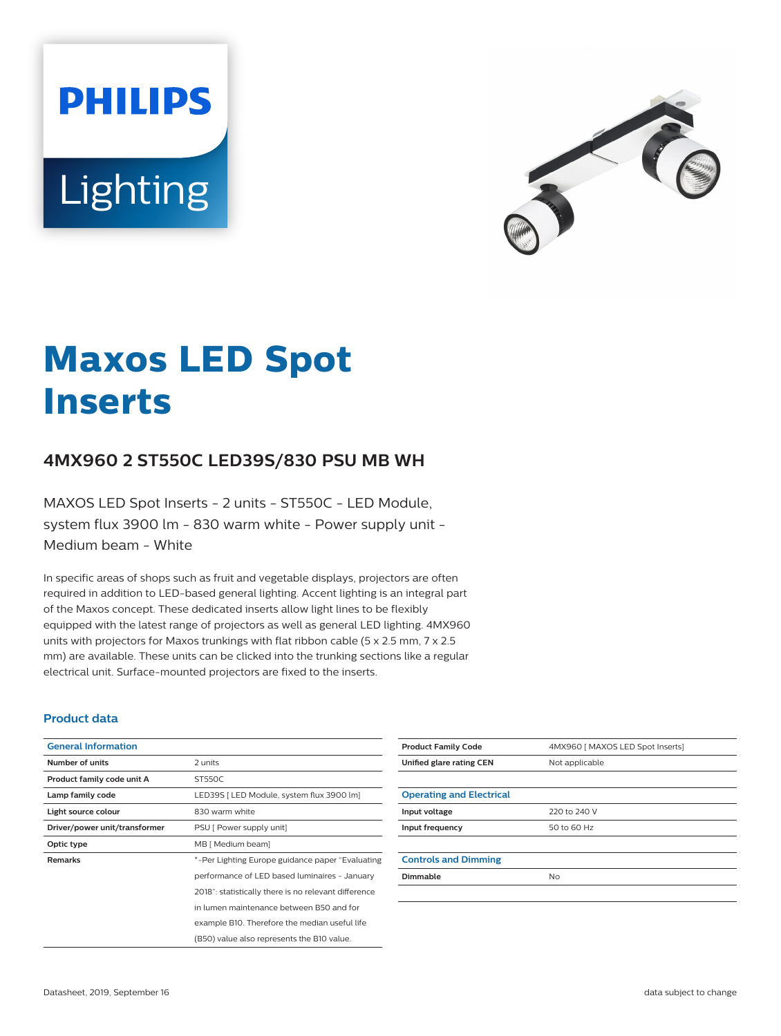**Lighting** 

**PHILIPS** 



# **Maxos LED Spot Inserts**

## **4MX960 2 ST550C LED39S/830 PSU MB WH**

MAXOS LED Spot Inserts - 2 units - ST550C - LED Module, system flux 3900 lm - 830 warm white - Power supply unit - Medium beam - White

In specific areas of shops such as fruit and vegetable displays, projectors are often required in addition to LED-based general lighting. Accent lighting is an integral part of the Maxos concept. These dedicated inserts allow light lines to be flexibly equipped with the latest range of projectors as well as general LED lighting. 4MX960 units with projectors for Maxos trunkings with flat ribbon cable (5 x 2.5 mm, 7 x 2.5 mm) are available. These units can be clicked into the trunking sections like a regular electrical unit. Surface-mounted projectors are fixed to the inserts.

#### **Product data**

| <b>General Information</b>    |                                                      |
|-------------------------------|------------------------------------------------------|
| Number of units               | 2 units                                              |
| Product family code unit A    | ST550C                                               |
| Lamp family code              | LED39S   LED Module, system flux 3900 lm]            |
| Light source colour           | 830 warm white                                       |
| Driver/power unit/transformer | PSU [ Power supply unit]                             |
| Optic type                    | MB [ Medium beam]                                    |
| <b>Remarks</b>                | *-Per Lighting Europe guidance paper "Evaluating"    |
|                               | performance of LED based luminaires - January        |
|                               | 2018": statistically there is no relevant difference |
|                               | in lumen maintenance between B50 and for             |
|                               | example B10. Therefore the median useful life        |
|                               | (B50) value also represents the B10 value.           |

| <b>Product Family Code</b>      | 4MX960   MAXOS LED Spot Inserts] |
|---------------------------------|----------------------------------|
| Unified glare rating CEN        | Not applicable                   |
|                                 |                                  |
| <b>Operating and Electrical</b> |                                  |
| Input voltage                   | 220 to 240 V                     |
| Input frequency                 | 50 to 60 Hz                      |
|                                 |                                  |
| <b>Controls and Dimming</b>     |                                  |
| Dimmable                        | <b>No</b>                        |
|                                 |                                  |